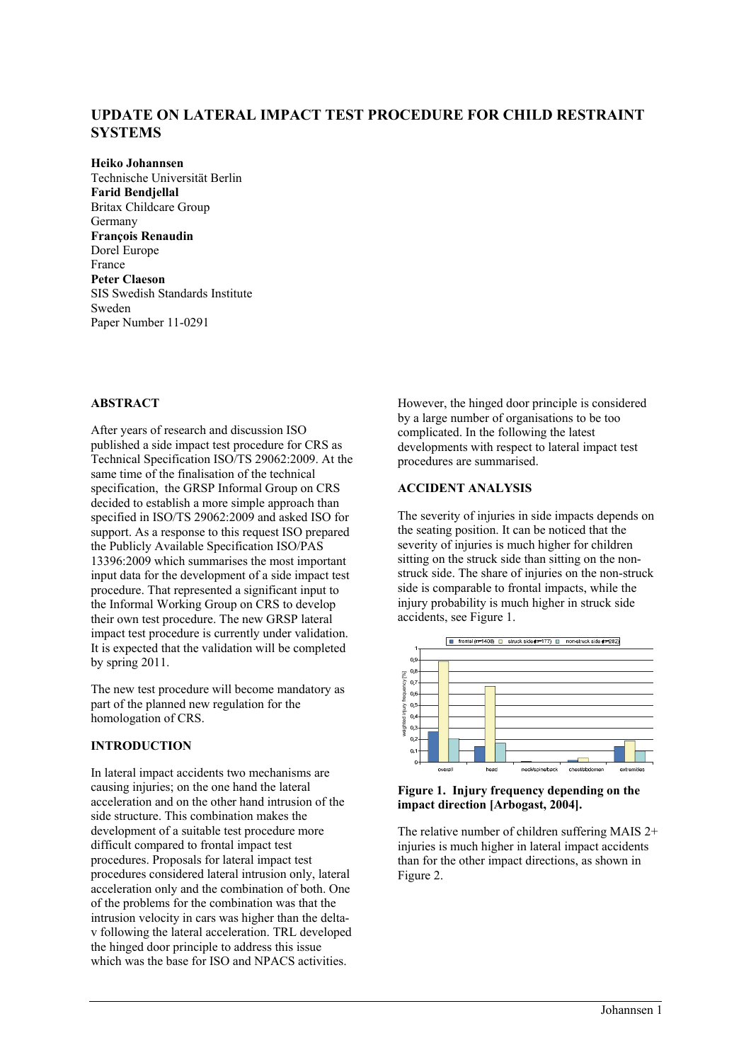# **UPDATE ON LATERAL IMPACT TEST PROCEDURE FOR CHILD RESTRAINT SYSTEMS**

**Heiko Johannsen**  Technische Universität Berlin **Farid Bendjellal**  Britax Childcare Group Germany **François Renaudin**  Dorel Europe France **Peter Claeson**  SIS Swedish Standards Institute Sweden Paper Number 11-0291

# **ABSTRACT**

After years of research and discussion ISO published a side impact test procedure for CRS as Technical Specification ISO/TS 29062:2009. At the same time of the finalisation of the technical specification, the GRSP Informal Group on CRS decided to establish a more simple approach than specified in ISO/TS 29062:2009 and asked ISO for support. As a response to this request ISO prepared the Publicly Available Specification ISO/PAS 13396:2009 which summarises the most important input data for the development of a side impact test procedure. That represented a significant input to the Informal Working Group on CRS to develop their own test procedure. The new GRSP lateral impact test procedure is currently under validation. It is expected that the validation will be completed by spring 2011.

The new test procedure will become mandatory as part of the planned new regulation for the homologation of CRS.

# **INTRODUCTION**

In lateral impact accidents two mechanisms are causing injuries; on the one hand the lateral acceleration and on the other hand intrusion of the side structure. This combination makes the development of a suitable test procedure more difficult compared to frontal impact test procedures. Proposals for lateral impact test procedures considered lateral intrusion only, lateral acceleration only and the combination of both. One of the problems for the combination was that the intrusion velocity in cars was higher than the deltav following the lateral acceleration. TRL developed the hinged door principle to address this issue which was the base for ISO and NPACS activities.

However, the hinged door principle is considered by a large number of organisations to be too complicated. In the following the latest developments with respect to lateral impact test procedures are summarised.

# **ACCIDENT ANALYSIS**

The severity of injuries in side impacts depends on the seating position. It can be noticed that the severity of injuries is much higher for children sitting on the struck side than sitting on the nonstruck side. The share of injuries on the non-struck side is comparable to frontal impacts, while the injury probability is much higher in struck side accidents, see Figure 1.



#### **Figure 1. Injury frequency depending on the impact direction [Arbogast, 2004].**

The relative number of children suffering MAIS 2+ injuries is much higher in lateral impact accidents than for the other impact directions, as shown in Figure 2.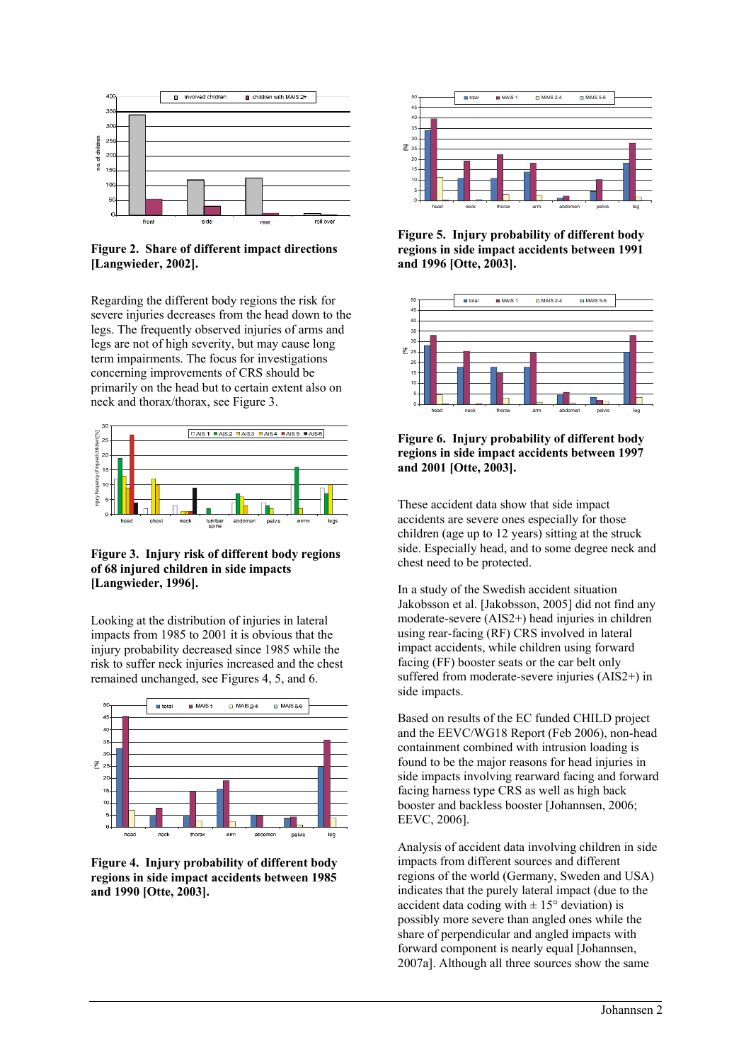

**Figure 2. Share of different impact directions [Langwieder, 2002].** 

Regarding the different body regions the risk for severe injuries decreases from the head down to the legs. The frequently observed injuries of arms and legs are not of high severity, but may cause long term impairments. The focus for investigations concerning improvements of CRS should be primarily on the head but to certain extent also on neck and thorax/thorax, see Figure 3.



**Figure 3. Injury risk of different body regions of 68 injured children in side impacts [Langwieder, 1996].** 

Looking at the distribution of injuries in lateral impacts from 1985 to 2001 it is obvious that the injury probability decreased since 1985 while the risk to suffer neck injuries increased and the chest remained unchanged, see Figures 4, 5, and 6.



**Figure 4. Injury probability of different body regions in side impact accidents between 1985 and 1990 [Otte, 2003].** 



**Figure 5. Injury probability of different body regions in side impact accidents between 1991 and 1996 [Otte, 2003].** 



**Figure 6. Injury probability of different body regions in side impact accidents between 1997 and 2001 [Otte, 2003].** 

These accident data show that side impact accidents are severe ones especially for those children (age up to 12 years) sitting at the struck side. Especially head, and to some degree neck and chest need to be protected.

In a study of the Swedish accident situation Jakobsson et al. [Jakobsson, 2005] did not find any moderate-severe (AIS2+) head injuries in children using rear-facing (RF) CRS involved in lateral impact accidents, while children using forward facing (FF) booster seats or the car belt only suffered from moderate-severe injuries (AIS2+) in side impacts.

Based on results of the EC funded CHILD project and the EEVC/WG18 Report (Feb 2006), non-head containment combined with intrusion loading is found to be the major reasons for head injuries in side impacts involving rearward facing and forward facing harness type CRS as well as high back booster and backless booster [Johannsen, 2006; EEVC, 2006].

Analysis of accident data involving children in side impacts from different sources and different regions of the world (Germany, Sweden and USA) indicates that the purely lateral impact (due to the accident data coding with  $\pm 15^{\circ}$  deviation) is possibly more severe than angled ones while the share of perpendicular and angled impacts with forward component is nearly equal [Johannsen, 2007a]. Although all three sources show the same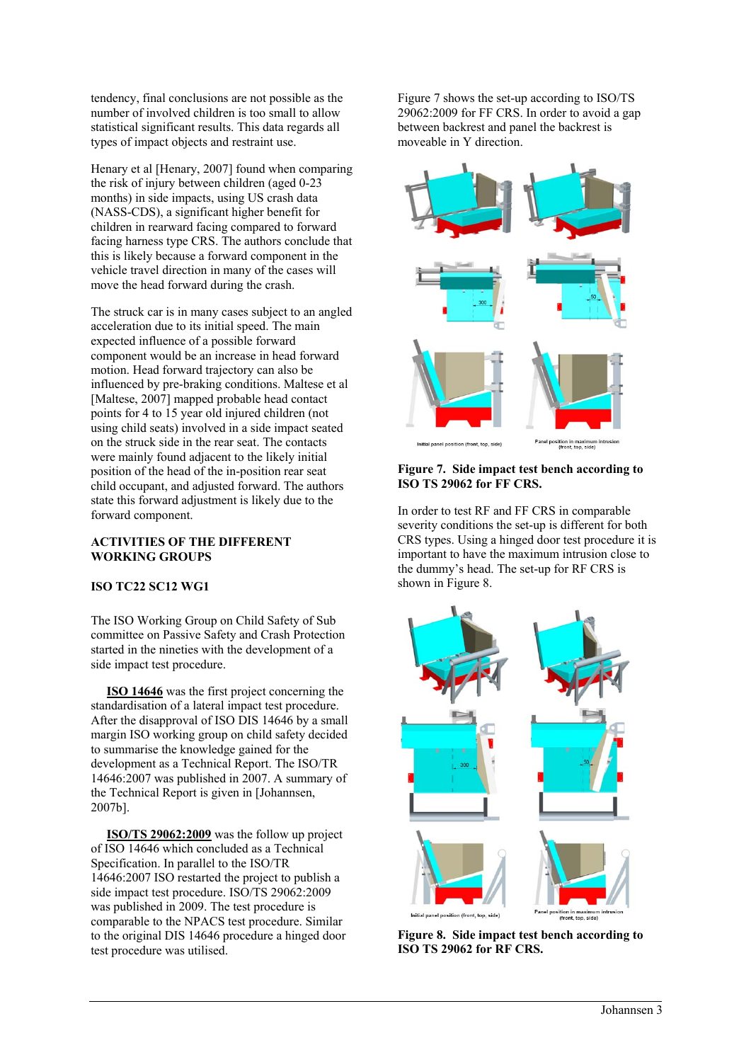tendency, final conclusions are not possible as the number of involved children is too small to allow statistical significant results. This data regards all types of impact objects and restraint use.

Henary et al [Henary, 2007] found when comparing the risk of injury between children (aged 0-23 months) in side impacts, using US crash data (NASS-CDS), a significant higher benefit for children in rearward facing compared to forward facing harness type CRS. The authors conclude that this is likely because a forward component in the vehicle travel direction in many of the cases will move the head forward during the crash.

The struck car is in many cases subject to an angled acceleration due to its initial speed. The main expected influence of a possible forward component would be an increase in head forward motion. Head forward trajectory can also be influenced by pre-braking conditions. Maltese et al [Maltese, 2007] mapped probable head contact points for 4 to 15 year old injured children (not using child seats) involved in a side impact seated on the struck side in the rear seat. The contacts were mainly found adjacent to the likely initial position of the head of the in-position rear seat child occupant, and adjusted forward. The authors state this forward adjustment is likely due to the forward component.

# **ACTIVITIES OF THE DIFFERENT WORKING GROUPS**

# **ISO TC22 SC12 WG1**

The ISO Working Group on Child Safety of Sub committee on Passive Safety and Crash Protection started in the nineties with the development of a side impact test procedure.

 **ISO 14646** was the first project concerning the standardisation of a lateral impact test procedure. After the disapproval of ISO DIS 14646 by a small margin ISO working group on child safety decided to summarise the knowledge gained for the development as a Technical Report. The ISO/TR 14646:2007 was published in 2007. A summary of the Technical Report is given in [Johannsen, 2007b].

 **ISO/TS 29062:2009** was the follow up project of ISO 14646 which concluded as a Technical Specification. In parallel to the ISO/TR 14646:2007 ISO restarted the project to publish a side impact test procedure. ISO/TS 29062:2009 was published in 2009. The test procedure is comparable to the NPACS test procedure. Similar to the original DIS 14646 procedure a hinged door test procedure was utilised.

Figure 7 shows the set-up according to ISO/TS 29062:2009 for FF CRS. In order to avoid a gap between backrest and panel the backrest is moveable in Y direction.



**Figure 7. Side impact test bench according to ISO TS 29062 for FF CRS.** 

In order to test RF and FF CRS in comparable severity conditions the set-up is different for both CRS types. Using a hinged door test procedure it is important to have the maximum intrusion close to the dummy's head. The set-up for RF CRS is shown in Figure 8.



**Figure 8. Side impact test bench according to ISO TS 29062 for RF CRS.**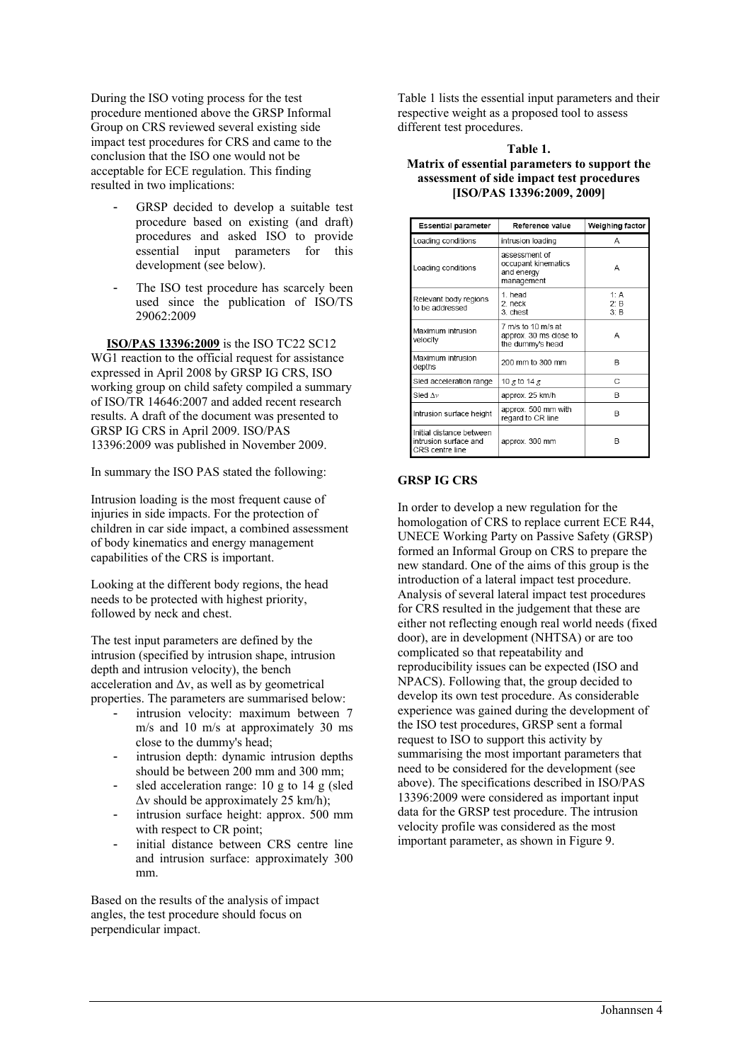During the ISO voting process for the test procedure mentioned above the GRSP Informal Group on CRS reviewed several existing side impact test procedures for CRS and came to the conclusion that the ISO one would not be acceptable for ECE regulation. This finding resulted in two implications:

- GRSP decided to develop a suitable test procedure based on existing (and draft) procedures and asked ISO to provide essential input parameters for this development (see below).
- The ISO test procedure has scarcely been used since the publication of ISO/TS 29062:2009

 **ISO/PAS 13396:2009** is the ISO TC22 SC12 WG1 reaction to the official request for assistance expressed in April 2008 by GRSP IG CRS, ISO working group on child safety compiled a summary of ISO/TR 14646:2007 and added recent research results. A draft of the document was presented to GRSP IG CRS in April 2009. ISO/PAS 13396:2009 was published in November 2009.

In summary the ISO PAS stated the following:

Intrusion loading is the most frequent cause of injuries in side impacts. For the protection of children in car side impact, a combined assessment of body kinematics and energy management capabilities of the CRS is important.

Looking at the different body regions, the head needs to be protected with highest priority, followed by neck and chest.

The test input parameters are defined by the intrusion (specified by intrusion shape, intrusion depth and intrusion velocity), the bench acceleration and  $\Delta v$ , as well as by geometrical properties. The parameters are summarised below:

- intrusion velocity: maximum between 7 m/s and 10 m/s at approximately 30 ms close to the dummy's head;
- intrusion depth: dynamic intrusion depths should be between 200 mm and 300 mm;
- sled acceleration range:  $10 \text{ g}$  to  $14 \text{ g}$  (sled Δv should be approximately 25 km/h);
- intrusion surface height: approx. 500 mm with respect to CR point;
- initial distance between CRS centre line and intrusion surface: approximately 300 mm.

Based on the results of the analysis of impact angles, the test procedure should focus on perpendicular impact.

Table 1 lists the essential input parameters and their respective weight as a proposed tool to assess different test procedures.

# **Table 1. Matrix of essential parameters to support the assessment of side impact test procedures [ISO/PAS 13396:2009, 2009]**

| <b>Essential parameter</b>                                           | Reference value                                                  | Weighing factor               |  |
|----------------------------------------------------------------------|------------------------------------------------------------------|-------------------------------|--|
| Loading conditions                                                   | intrusion loading                                                | А                             |  |
| Loading conditions                                                   | assessment of<br>occupant kinematics<br>and energy<br>management | А                             |  |
| Relevant body regions<br>to be addressed                             | 1 head<br>2. neck<br>3. chest                                    | 1: A<br>$2$ $\cdot$ B<br>3: B |  |
| Maximum intrusion<br>velocity                                        | 7 m/s to 10 m/s at<br>approx. 30 ms close to<br>the dummy's head | А                             |  |
| Maximum intrusion<br>depths                                          | 200 mm to 300 mm                                                 | R                             |  |
| Sled acceleration range                                              | 10 g to 14 g                                                     | C                             |  |
| Sled $\Delta v$                                                      | approx. 25 km/h                                                  | B                             |  |
| Intrusion surface height                                             | approx. 500 mm with<br>regard to CR line                         | B                             |  |
| Initial distance between<br>intrusion surface and<br>CRS centre line | approx. 300 mm                                                   | B                             |  |

# **GRSP IG CRS**

In order to develop a new regulation for the homologation of CRS to replace current ECE R44, UNECE Working Party on Passive Safety (GRSP) formed an Informal Group on CRS to prepare the new standard. One of the aims of this group is the introduction of a lateral impact test procedure. Analysis of several lateral impact test procedures for CRS resulted in the judgement that these are either not reflecting enough real world needs (fixed door), are in development (NHTSA) or are too complicated so that repeatability and reproducibility issues can be expected (ISO and NPACS). Following that, the group decided to develop its own test procedure. As considerable experience was gained during the development of the ISO test procedures, GRSP sent a formal request to ISO to support this activity by summarising the most important parameters that need to be considered for the development (see above). The specifications described in ISO/PAS 13396:2009 were considered as important input data for the GRSP test procedure. The intrusion velocity profile was considered as the most important parameter, as shown in Figure 9.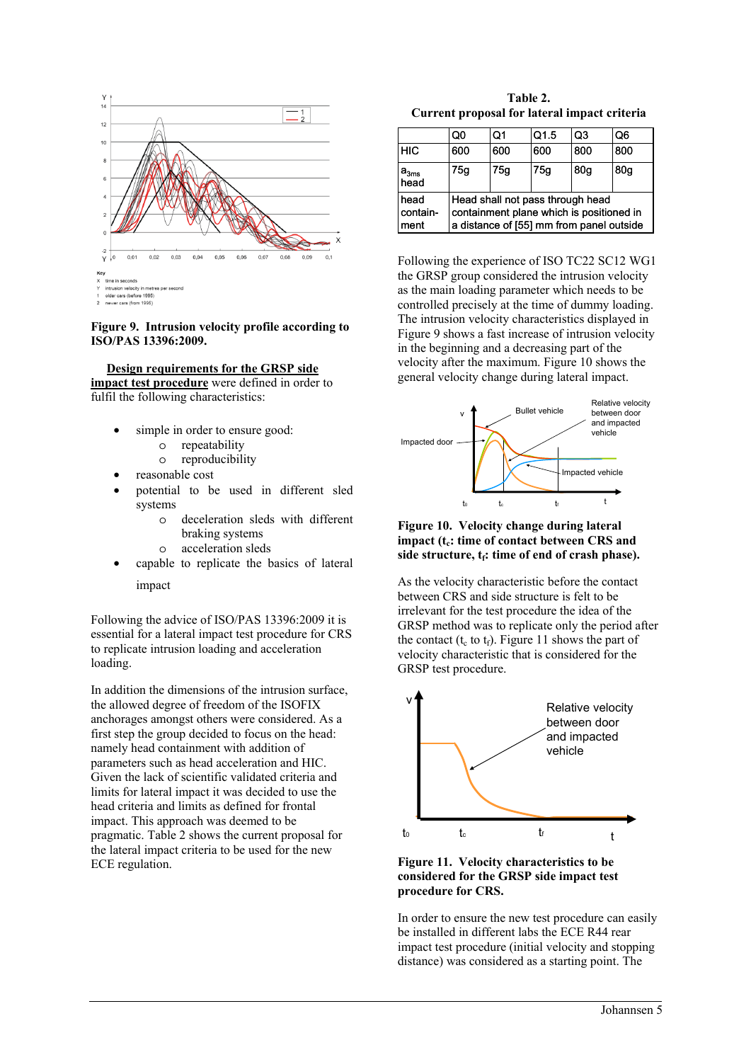

#### **Figure 9. Intrusion velocity profile according to ISO/PAS 13396:2009.**

 **Design requirements for the GRSP side impact test procedure** were defined in order to fulfil the following characteristics:

- simple in order to ensure good:
	- o repeatability
	- o reproducibility
- reasonable cost
- potential to be used in different sled systems
	- o deceleration sleds with different braking systems
	- o acceleration sleds
- capable to replicate the basics of lateral impact

Following the advice of ISO/PAS 13396:2009 it is essential for a lateral impact test procedure for CRS to replicate intrusion loading and acceleration loading.

In addition the dimensions of the intrusion surface, the allowed degree of freedom of the ISOFIX anchorages amongst others were considered. As a first step the group decided to focus on the head: namely head containment with addition of parameters such as head acceleration and HIC. Given the lack of scientific validated criteria and limits for lateral impact it was decided to use the head criteria and limits as defined for frontal impact. This approach was deemed to be pragmatic. Table 2 shows the current proposal for the lateral impact criteria to be used for the new ECE regulation.

**Table 2. Current proposal for lateral impact criteria** 

|                          | O0                                                                                                                       | Ο1  | Q1.5 | Q3              | Q6  |  |
|--------------------------|--------------------------------------------------------------------------------------------------------------------------|-----|------|-----------------|-----|--|
| <b>HIC</b>               | 600                                                                                                                      | 600 | 600  | 800             | 800 |  |
| $a3ms$ head              | 75g                                                                                                                      | 75g | 75a  | 80 <sub>q</sub> | 80q |  |
| head<br>contain-<br>ment | Head shall not pass through head<br>containment plane which is positioned in<br>a distance of [55] mm from panel outside |     |      |                 |     |  |

Following the experience of ISO TC22 SC12 WG1 the GRSP group considered the intrusion velocity as the main loading parameter which needs to be controlled precisely at the time of dummy loading. The intrusion velocity characteristics displayed in Figure 9 shows a fast increase of intrusion velocity in the beginning and a decreasing part of the velocity after the maximum. Figure 10 shows the general velocity change during lateral impact.



# **Figure 10. Velocity change during lateral impact (t<sub>c</sub>: time of contact between CRS and** side structure, t<sub>f</sub>: time of end of crash phase).

As the velocity characteristic before the contact between CRS and side structure is felt to be irrelevant for the test procedure the idea of the GRSP method was to replicate only the period after the contact ( $t_c$  to  $t_f$ ). Figure 11 shows the part of velocity characteristic that is considered for the GRSP test procedure.





In order to ensure the new test procedure can easily be installed in different labs the ECE R44 rear impact test procedure (initial velocity and stopping distance) was considered as a starting point. The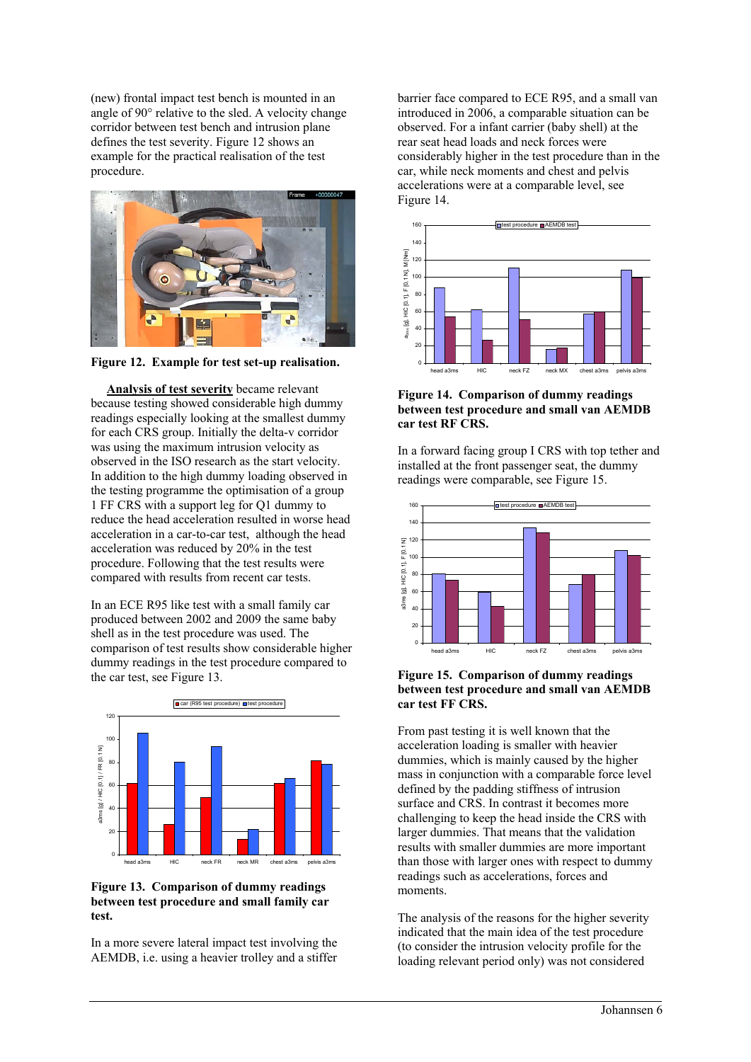(new) frontal impact test bench is mounted in an angle of 90° relative to the sled. A velocity change corridor between test bench and intrusion plane defines the test severity. Figure 12 shows an example for the practical realisation of the test procedure.



**Figure 12. Example for test set-up realisation.** 

 **Analysis of test severity** became relevant because testing showed considerable high dummy readings especially looking at the smallest dummy for each CRS group. Initially the delta-v corridor was using the maximum intrusion velocity as observed in the ISO research as the start velocity. In addition to the high dummy loading observed in the testing programme the optimisation of a group 1 FF CRS with a support leg for Q1 dummy to reduce the head acceleration resulted in worse head acceleration in a car-to-car test, although the head acceleration was reduced by 20% in the test procedure. Following that the test results were compared with results from recent car tests.

In an ECE R95 like test with a small family car produced between 2002 and 2009 the same baby shell as in the test procedure was used. The comparison of test results show considerable higher dummy readings in the test procedure compared to the car test, see Figure 13.



**Figure 13. Comparison of dummy readings between test procedure and small family car test.** 

In a more severe lateral impact test involving the AEMDB, i.e. using a heavier trolley and a stiffer barrier face compared to ECE R95, and a small van introduced in 2006, a comparable situation can be observed. For a infant carrier (baby shell) at the rear seat head loads and neck forces were considerably higher in the test procedure than in the car, while neck moments and chest and pelvis accelerations were at a comparable level, see Figure 14.



# **Figure 14. Comparison of dummy readings between test procedure and small van AEMDB car test RF CRS.**

In a forward facing group I CRS with top tether and installed at the front passenger seat, the dummy readings were comparable, see Figure 15.



#### **Figure 15. Comparison of dummy readings between test procedure and small van AEMDB car test FF CRS.**

From past testing it is well known that the acceleration loading is smaller with heavier dummies, which is mainly caused by the higher mass in conjunction with a comparable force level defined by the padding stiffness of intrusion surface and CRS. In contrast it becomes more challenging to keep the head inside the CRS with larger dummies. That means that the validation results with smaller dummies are more important than those with larger ones with respect to dummy readings such as accelerations, forces and moments.

The analysis of the reasons for the higher severity indicated that the main idea of the test procedure (to consider the intrusion velocity profile for the loading relevant period only) was not considered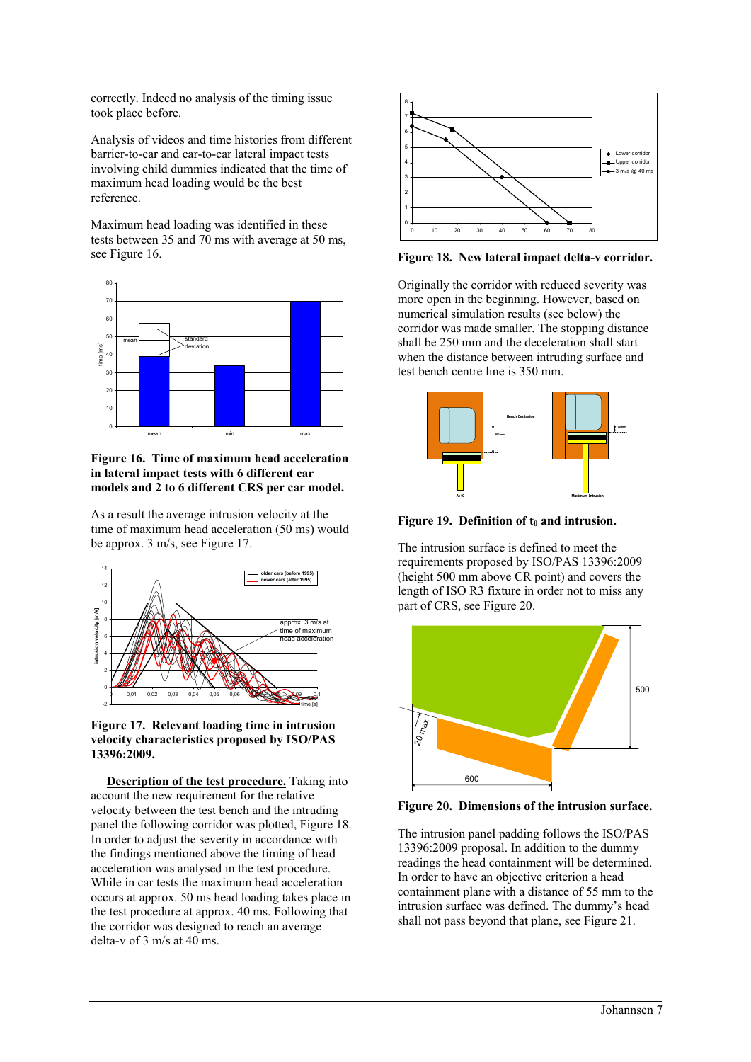correctly. Indeed no analysis of the timing issue took place before.

Analysis of videos and time histories from different barrier-to-car and car-to-car lateral impact tests involving child dummies indicated that the time of maximum head loading would be the best reference.

Maximum head loading was identified in these tests between 35 and 70 ms with average at 50 ms, see Figure 16.



**Figure 16. Time of maximum head acceleration in lateral impact tests with 6 different car models and 2 to 6 different CRS per car model.** 

As a result the average intrusion velocity at the time of maximum head acceleration (50 ms) would be approx. 3 m/s, see Figure 17.



**Figure 17. Relevant loading time in intrusion velocity characteristics proposed by ISO/PAS 13396:2009.** 

 **Description of the test procedure.** Taking into account the new requirement for the relative velocity between the test bench and the intruding panel the following corridor was plotted, Figure 18. In order to adjust the severity in accordance with the findings mentioned above the timing of head acceleration was analysed in the test procedure. While in car tests the maximum head acceleration occurs at approx. 50 ms head loading takes place in the test procedure at approx. 40 ms. Following that the corridor was designed to reach an average delta-v of 3 m/s at 40 ms.



**Figure 18. New lateral impact delta-v corridor.** 

Originally the corridor with reduced severity was more open in the beginning. However, based on numerical simulation results (see below) the corridor was made smaller. The stopping distance shall be 250 mm and the deceleration shall start when the distance between intruding surface and test bench centre line is 350 mm.



Figure 19. Definition of t<sub>0</sub> and intrusion.

The intrusion surface is defined to meet the requirements proposed by ISO/PAS 13396:2009 (height 500 mm above CR point) and covers the length of ISO R3 fixture in order not to miss any part of CRS, see Figure 20.



**Figure 20. Dimensions of the intrusion surface.** 

The intrusion panel padding follows the ISO/PAS 13396:2009 proposal. In addition to the dummy readings the head containment will be determined. In order to have an objective criterion a head containment plane with a distance of 55 mm to the intrusion surface was defined. The dummy's head shall not pass beyond that plane, see Figure 21.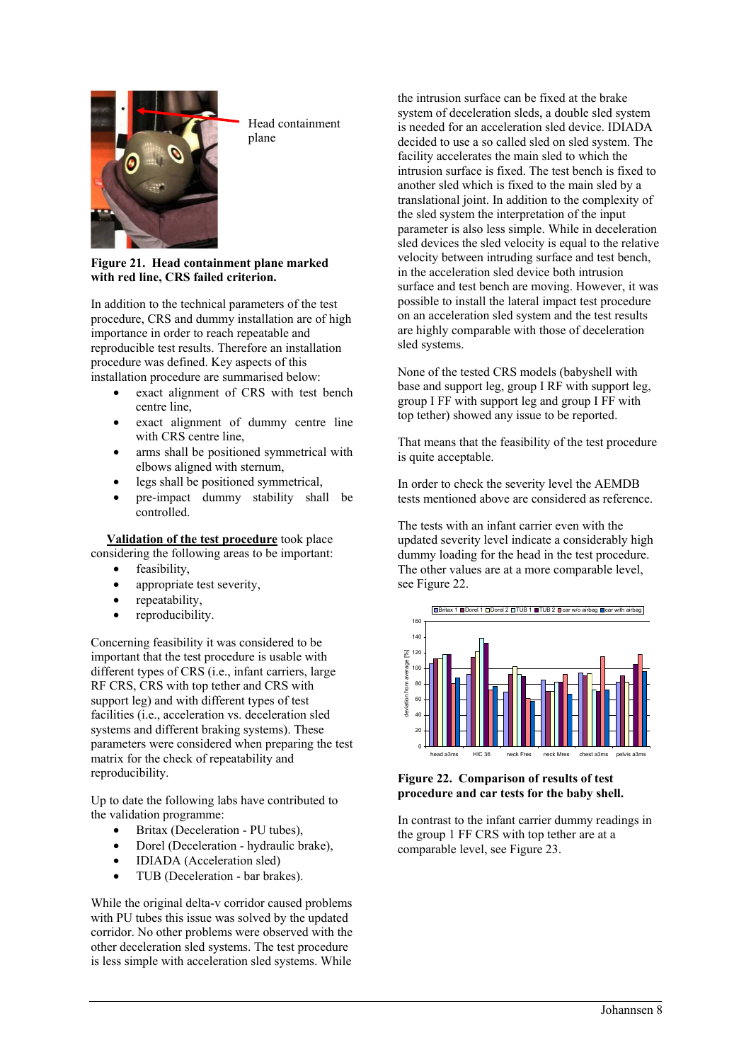

Head containment plane

# **Figure 21. Head containment plane marked with red line, CRS failed criterion.**

In addition to the technical parameters of the test procedure, CRS and dummy installation are of high importance in order to reach repeatable and reproducible test results. Therefore an installation procedure was defined. Key aspects of this installation procedure are summarised below:

- exact alignment of CRS with test bench centre line,
- exact alignment of dummy centre line with CRS centre line,
- arms shall be positioned symmetrical with elbows aligned with sternum,
- legs shall be positioned symmetrical.
- pre-impact dummy stability shall be controlled.

**Validation of the test procedure** took place

considering the following areas to be important:

- feasibility,
- appropriate test severity,
- repeatability,
- reproducibility.

Concerning feasibility it was considered to be important that the test procedure is usable with different types of CRS (i.e., infant carriers, large RF CRS, CRS with top tether and CRS with support leg) and with different types of test facilities (i.e., acceleration vs. deceleration sled systems and different braking systems). These parameters were considered when preparing the test matrix for the check of repeatability and reproducibility.

Up to date the following labs have contributed to the validation programme:

- Britax (Deceleration PU tubes),
- Dorel (Deceleration hydraulic brake),
- **IDIADA** (Acceleration sled)
- TUB (Deceleration bar brakes).

While the original delta-v corridor caused problems with PU tubes this issue was solved by the updated corridor. No other problems were observed with the other deceleration sled systems. The test procedure is less simple with acceleration sled systems. While

the intrusion surface can be fixed at the brake system of deceleration sleds, a double sled system is needed for an acceleration sled device. IDIADA decided to use a so called sled on sled system. The facility accelerates the main sled to which the intrusion surface is fixed. The test bench is fixed to another sled which is fixed to the main sled by a translational joint. In addition to the complexity of the sled system the interpretation of the input parameter is also less simple. While in deceleration sled devices the sled velocity is equal to the relative velocity between intruding surface and test bench, in the acceleration sled device both intrusion surface and test bench are moving. However, it was possible to install the lateral impact test procedure on an acceleration sled system and the test results are highly comparable with those of deceleration sled systems.

None of the tested CRS models (babyshell with base and support leg, group I RF with support leg, group I FF with support leg and group I FF with top tether) showed any issue to be reported.

That means that the feasibility of the test procedure is quite acceptable.

In order to check the severity level the AEMDB tests mentioned above are considered as reference.

The tests with an infant carrier even with the updated severity level indicate a considerably high dummy loading for the head in the test procedure. The other values are at a more comparable level, see Figure 22.



# **Figure 22. Comparison of results of test procedure and car tests for the baby shell.**

In contrast to the infant carrier dummy readings in the group 1 FF CRS with top tether are at a comparable level, see Figure 23.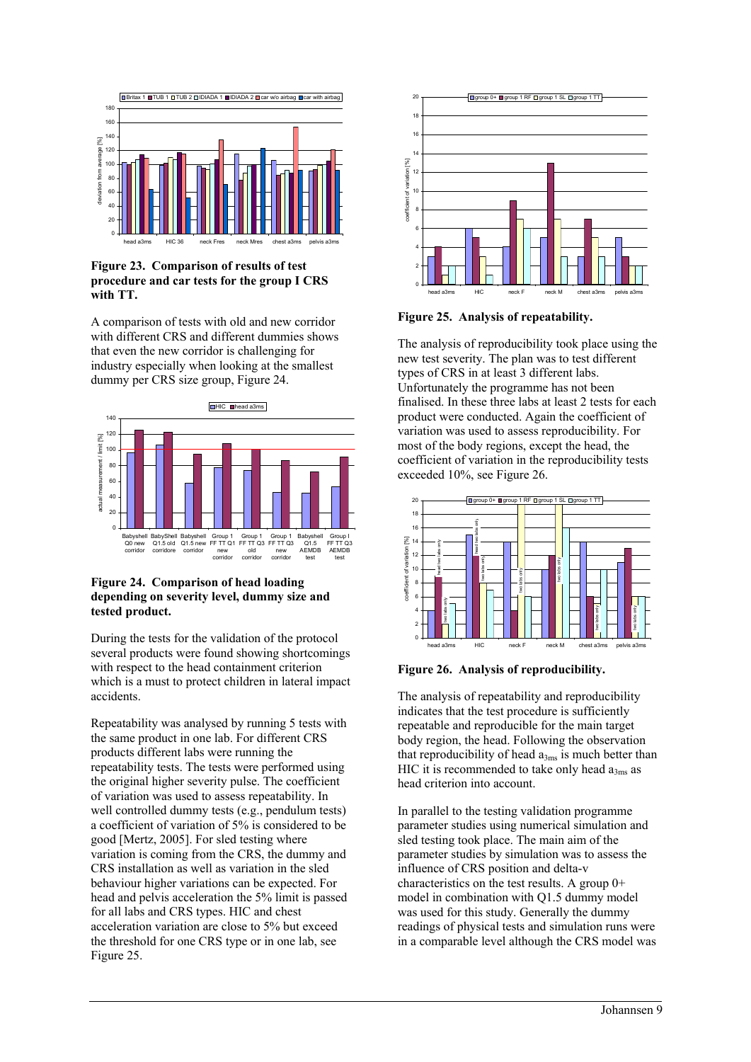

# **Figure 23. Comparison of results of test procedure and car tests for the group I CRS with TT.**

A comparison of tests with old and new corridor with different CRS and different dummies shows that even the new corridor is challenging for industry especially when looking at the smallest dummy per CRS size group, Figure 24.



# **Figure 24. Comparison of head loading depending on severity level, dummy size and tested product.**

During the tests for the validation of the protocol several products were found showing shortcomings with respect to the head containment criterion which is a must to protect children in lateral impact accidents.

Repeatability was analysed by running 5 tests with the same product in one lab. For different CRS products different labs were running the repeatability tests. The tests were performed using the original higher severity pulse. The coefficient of variation was used to assess repeatability. In well controlled dummy tests (e.g., pendulum tests) a coefficient of variation of 5% is considered to be good [Mertz, 2005]. For sled testing where variation is coming from the CRS, the dummy and CRS installation as well as variation in the sled behaviour higher variations can be expected. For head and pelvis acceleration the 5% limit is passed for all labs and CRS types. HIC and chest acceleration variation are close to 5% but exceed the threshold for one CRS type or in one lab, see Figure 25.



**Figure 25. Analysis of repeatability.** 

The analysis of reproducibility took place using the new test severity. The plan was to test different types of CRS in at least 3 different labs. Unfortunately the programme has not been finalised. In these three labs at least 2 tests for each product were conducted. Again the coefficient of variation was used to assess reproducibility. For most of the body regions, except the head, the coefficient of variation in the reproducibility tests exceeded 10%, see Figure 26.



**Figure 26. Analysis of reproducibility.** 

The analysis of repeatability and reproducibility indicates that the test procedure is sufficiently repeatable and reproducible for the main target body region, the head. Following the observation that reproducibility of head  $a_{3ms}$  is much better than HIC it is recommended to take only head  $a_{3ms}$  as head criterion into account.

In parallel to the testing validation programme parameter studies using numerical simulation and sled testing took place. The main aim of the parameter studies by simulation was to assess the influence of CRS position and delta-v characteristics on the test results. A group 0+ model in combination with Q1.5 dummy model was used for this study. Generally the dummy readings of physical tests and simulation runs were in a comparable level although the CRS model was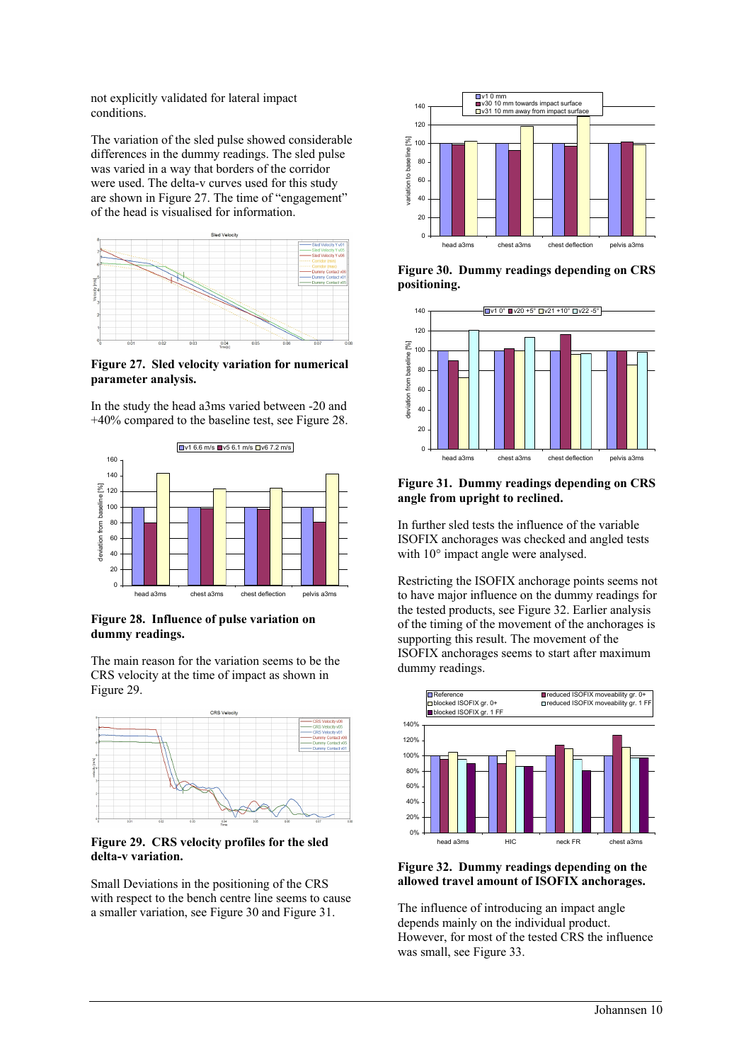not explicitly validated for lateral impact conditions.

The variation of the sled pulse showed considerable differences in the dummy readings. The sled pulse was varied in a way that borders of the corridor were used. The delta-v curves used for this study are shown in Figure 27. The time of "engagement" of the head is visualised for information.



**Figure 27. Sled velocity variation for numerical parameter analysis.** 

In the study the head a3ms varied between -20 and +40% compared to the baseline test, see Figure 28.



**Figure 28. Influence of pulse variation on dummy readings.** 

The main reason for the variation seems to be the CRS velocity at the time of impact as shown in Figure 29.



**Figure 29. CRS velocity profiles for the sled delta-v variation.** 

Small Deviations in the positioning of the CRS with respect to the bench centre line seems to cause a smaller variation, see Figure 30 and Figure 31.



**Figure 30. Dummy readings depending on CRS positioning.** 



# **Figure 31. Dummy readings depending on CRS angle from upright to reclined.**

In further sled tests the influence of the variable ISOFIX anchorages was checked and angled tests with 10° impact angle were analysed.

Restricting the ISOFIX anchorage points seems not to have major influence on the dummy readings for the tested products, see Figure 32. Earlier analysis of the timing of the movement of the anchorages is supporting this result. The movement of the ISOFIX anchorages seems to start after maximum dummy readings.



#### **Figure 32. Dummy readings depending on the allowed travel amount of ISOFIX anchorages.**

The influence of introducing an impact angle depends mainly on the individual product. However, for most of the tested CRS the influence was small, see Figure 33.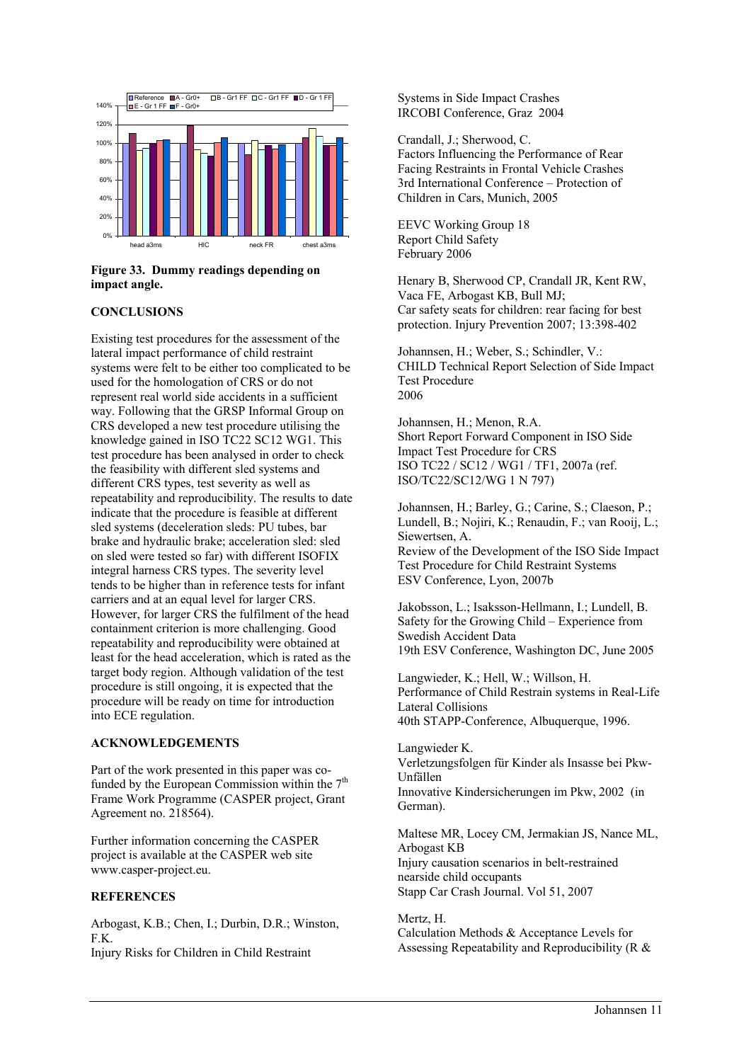

# **Figure 33. Dummy readings depending on impact angle.**

# **CONCLUSIONS**

Existing test procedures for the assessment of the lateral impact performance of child restraint systems were felt to be either too complicated to be used for the homologation of CRS or do not represent real world side accidents in a sufficient way. Following that the GRSP Informal Group on CRS developed a new test procedure utilising the knowledge gained in ISO TC22 SC12 WG1. This test procedure has been analysed in order to check the feasibility with different sled systems and different CRS types, test severity as well as repeatability and reproducibility. The results to date indicate that the procedure is feasible at different sled systems (deceleration sleds: PU tubes, bar brake and hydraulic brake; acceleration sled: sled on sled were tested so far) with different ISOFIX integral harness CRS types. The severity level tends to be higher than in reference tests for infant carriers and at an equal level for larger CRS. However, for larger CRS the fulfilment of the head containment criterion is more challenging. Good repeatability and reproducibility were obtained at least for the head acceleration, which is rated as the target body region. Although validation of the test procedure is still ongoing, it is expected that the procedure will be ready on time for introduction into ECE regulation.

#### **ACKNOWLEDGEMENTS**

Part of the work presented in this paper was cofunded by the European Commission within the  $7<sup>th</sup>$ Frame Work Programme (CASPER project, Grant Agreement no. 218564).

Further information concerning the CASPER project is available at the CASPER web site www.casper-project.eu.

# **REFERENCES**

Arbogast, K.B.; Chen, I.; Durbin, D.R.; Winston, F.K. Injury Risks for Children in Child Restraint

Systems in Side Impact Crashes IRCOBI Conference, Graz 2004

Crandall, J.; Sherwood, C. Factors Influencing the Performance of Rear Facing Restraints in Frontal Vehicle Crashes 3rd International Conference – Protection of Children in Cars, Munich, 2005

EEVC Working Group 18 Report Child Safety February 2006

Henary B, Sherwood CP, Crandall JR, Kent RW, Vaca FE, Arbogast KB, Bull MJ; Car safety seats for children: rear facing for best protection. Injury Prevention 2007; 13:398-402

Johannsen, H.; Weber, S.; Schindler, V.: CHILD Technical Report Selection of Side Impact Test Procedure 2006

Johannsen, H.; Menon, R.A. Short Report Forward Component in ISO Side Impact Test Procedure for CRS ISO TC22 / SC12 / WG1 / TF1, 2007a (ref. ISO/TC22/SC12/WG 1 N 797)

Johannsen, H.; Barley, G.; Carine, S.; Claeson, P.; Lundell, B.; Nojiri, K.; Renaudin, F.; van Rooij, L.; Siewertsen, A. Review of the Development of the ISO Side Impact Test Procedure for Child Restraint Systems ESV Conference, Lyon, 2007b

Jakobsson, L.; Isaksson-Hellmann, I.; Lundell, B. Safety for the Growing Child – Experience from Swedish Accident Data 19th ESV Conference, Washington DC, June 2005

Langwieder, K.; Hell, W.; Willson, H. Performance of Child Restrain systems in Real-Life Lateral Collisions 40th STAPP-Conference, Albuquerque, 1996.

Langwieder K. Verletzungsfolgen für Kinder als Insasse bei Pkw-Unfällen Innovative Kindersicherungen im Pkw, 2002 (in German).

Maltese MR, Locey CM, Jermakian JS, Nance ML, Arbogast KB Injury causation scenarios in belt-restrained nearside child occupants Stapp Car Crash Journal. Vol 51, 2007

Mertz, H. Calculation Methods & Acceptance Levels for Assessing Repeatability and Reproducibility (R &